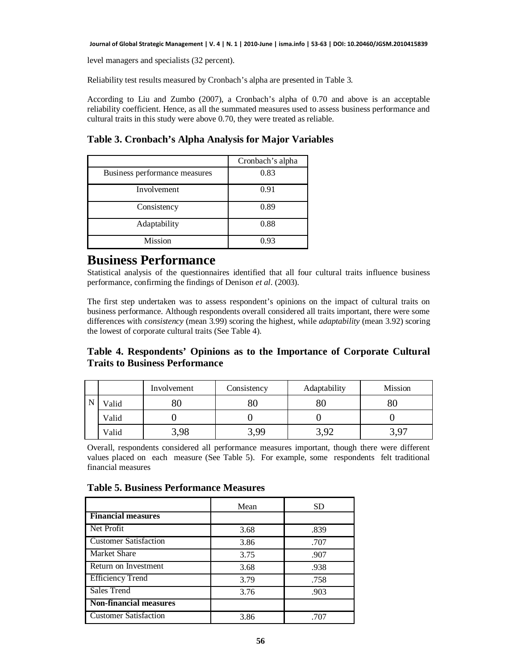level managers and specialists (32 percent).

Reliability test results measured by Cronbach's alpha are presented in Table 3.

According to Liu and Zumbo (2007), a Cronbach's alpha of 0.70 and above is an acceptable reliability coefficient. Hence, as all the summated measures used to assess business performance and cultural traits in this study were above 0.70, they were treated as reliable.

**Table 3. Cronbach's Alpha Analysis for Major Variables**

|                               | Cronbach's alpha |
|-------------------------------|------------------|
| Business performance measures | 0.83             |
| Involvement                   | 0.91             |
| Consistency                   | 0.89             |
| Adaptability                  | 0.88             |
| <b>Mission</b>                | 0.93             |

### **Business Performance**

Statistical analysis of the questionnaires identified that all four cultural traits influence business performance, confirming the findings of Denison *et al*. (2003).

The first step undertaken was to assess respondent's opinions on the impact of cultural traits on business performance. Although respondents overall considered all traits important, there were some differences with *consistency* (mean 3.99) scoring the highest, while *adaptability* (mean 3.92) scoring the lowest of corporate cultural traits (See Table 4).

### **Table 4. Respondents' Opinions as to the Importance of Corporate Cultural Traits to Business Performance**

|       | Involvement | Consistency | Adaptability | <b>Mission</b> |
|-------|-------------|-------------|--------------|----------------|
| Valid | $80\,$      | $80\,$      |              | 80             |
| Valid |             |             |              |                |
| Valid | 3,98        | 3,99        | 3,92         | 3 Q7           |

Overall, respondents considered all performance measures important, though there were different values placed on each measure (See Table 5). For example, some respondents felt traditional financial measures

**Table 5. Business Performance Measures**

|                               | Mean | SD   |
|-------------------------------|------|------|
| <b>Financial measures</b>     |      |      |
| Net Profit                    | 3.68 | .839 |
| <b>Customer Satisfaction</b>  | 3.86 | .707 |
| <b>Market Share</b>           | 3.75 | .907 |
| Return on Investment          | 3.68 | .938 |
| <b>Efficiency Trend</b>       | 3.79 | .758 |
| Sales Trend                   | 3.76 | .903 |
| <b>Non-financial measures</b> |      |      |
| <b>Customer Satisfaction</b>  | 3.86 | .707 |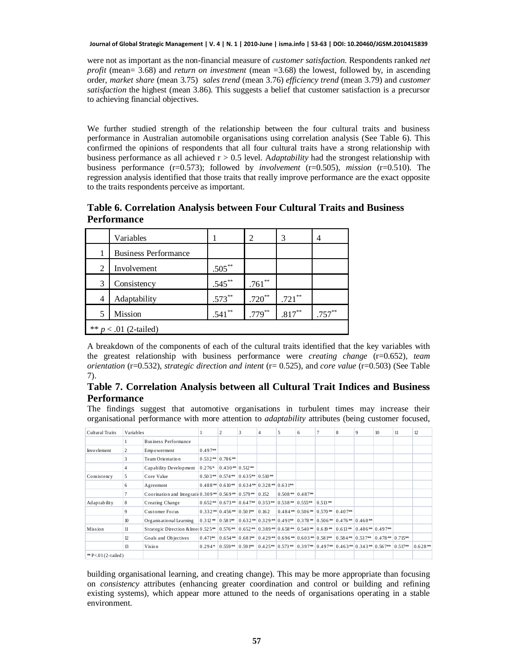were not as important as the non-financial measure of *customer satisfaction*. Respondents ranked *net profit* (mean= 3.68) and *return on investment* (mean =3.68) the lowest, followed by, in ascending order, *market share* (mean 3.75) *sales trend* (mean 3.76) *efficiency trend* (mean 3.79) and *customer satisfaction* the highest (mean 3.86). This suggests a belief that customer satisfaction is a precursor to achieving financial objectives.

We further studied strength of the relationship between the four cultural traits and business performance in Australian automobile organisations using correlation analysis (See Table 6). This confirmed the opinions of respondents that all four cultural traits have a strong relationship with business performance as all achieved r > 0.5 level. A*daptability* had the strongest relationship with business performance (r=0.573); followed by *involvement* (r=0.505), *mission* (r=0.510). The regression analysis identified that those traits that really improve performance are the exact opposite to the traits respondents perceive as important.

**Table 6. Correlation Analysis between Four Cultural Traits and Business Performance**

|                         | Variables                   |           | 2         | 3         | 4         |  |  |  |  |
|-------------------------|-----------------------------|-----------|-----------|-----------|-----------|--|--|--|--|
|                         | <b>Business Performance</b> |           |           |           |           |  |  |  |  |
| $\overline{2}$          | Involvement                 | $.505***$ |           |           |           |  |  |  |  |
| 3                       | Consistency                 | $.545***$ | $.761***$ |           |           |  |  |  |  |
| 4                       | Adaptability                | $.573***$ | $.720**$  | $.721$ ** |           |  |  |  |  |
| 5                       | Mission                     | $.541***$ | $.779***$ | $.817***$ | $.757***$ |  |  |  |  |
| ** $p < .01$ (2-tailed) |                             |           |           |           |           |  |  |  |  |

A breakdown of the components of each of the cultural traits identified that the key variables with the greatest relationship with business performance were *creating change* (r=0.652), *team orientation* (r=0.532), *strategic direction and intent* (r= 0.525), and *core value* (r=0.503) (See Table 7).

#### **Table 7. Correlation Analysis between all Cultural Trait Indices and Business Performance**

The findings suggest that automotive organisations in turbulent times may increase their organisational performance with more attention to *adaptability* attributes (being customer focused,

| Cultural Traits                 | Variables |                                                                                                                             |           |                                                  | 3 | $\overline{4}$                                            | 5 | 6                              | 8 | 9                                                                                                             | 10 | 11 | 12        |
|---------------------------------|-----------|-----------------------------------------------------------------------------------------------------------------------------|-----------|--------------------------------------------------|---|-----------------------------------------------------------|---|--------------------------------|---|---------------------------------------------------------------------------------------------------------------|----|----|-----------|
|                                 |           | Business Performance                                                                                                        |           |                                                  |   |                                                           |   |                                |   |                                                                                                               |    |    |           |
| Invo vlement                    | 2         | Empowerment                                                                                                                 | $0.497**$ |                                                  |   |                                                           |   |                                |   |                                                                                                               |    |    |           |
|                                 | 3         | Team Orientation                                                                                                            |           | $0.532**$ 0.786*                                 |   |                                                           |   |                                |   |                                                                                                               |    |    |           |
|                                 | 4         | Capability Development                                                                                                      |           | $0.276*$ 0.430 <sup>**</sup> 0.512 <sup>**</sup> |   |                                                           |   |                                |   |                                                                                                               |    |    |           |
| Consistency                     | 5         | Core Value                                                                                                                  |           | $0.503**$ 0.574** 0.635** 0.510**                |   |                                                           |   |                                |   |                                                                                                               |    |    |           |
|                                 | 6         | Agreement                                                                                                                   |           |                                                  |   | $0.488**0.610**0.634**0.328**0.631**$                     |   |                                |   |                                                                                                               |    |    |           |
|                                 |           | Coorination and Integrati 0.309*   0.569*   0.579*   0.152                                                                  |           |                                                  |   |                                                           |   | $0.508**0.487**$               |   |                                                                                                               |    |    |           |
| Ad aptability                   | 8         | Creating Change                                                                                                             |           |                                                  |   | $0.652**$ 0.673** 0.647** 0.353** 0.538** 0.555** 0.513** |   |                                |   |                                                                                                               |    |    |           |
|                                 | 9         | Customer Focus                                                                                                              |           | $0.332**$ 0.456 <sup>**</sup> 0.501** 0.162      |   |                                                           |   | $0.484**0.506**0.570**0.407**$ |   |                                                                                                               |    |    |           |
|                                 | 10        | Organisational Learning                                                                                                     |           |                                                  |   |                                                           |   |                                |   | $0.312**$ $0.581**$ $0.632**$ $0.329**$ $0.491**$ $0.378**$ $0.506**$ $0.476**$ $0.468**$                     |    |    |           |
| Mission                         | 11        | Strategic Direction & Inte   0.525**   0.576**   0.652**   0.389**   0.658**   0.540*   0.619**   0.613*   0.486*   0.497** |           |                                                  |   |                                                           |   |                                |   |                                                                                                               |    |    |           |
|                                 | 12        | Goals and Objectives                                                                                                        |           |                                                  |   |                                                           |   |                                |   | $0.471**$ $0.654**$ $0.681**$ $0.429**$ $0.696**$ $0.603**$ $0.581**$ $0.584**$ $0.537**$ $0.478**$ $0.715**$ |    |    |           |
|                                 | 13        | Vision                                                                                                                      |           |                                                  |   |                                                           |   |                                |   | $0.294*$ $0.559**$ $0.591**$ $0.425**$ $0.573**$ $0.397**$ $0.497**$ $0.463**$ $0.343**$ $0.567**$ $0.517**$  |    |    | $0.628**$ |
| <sup>*</sup> P< $01(2$ -tailed) |           |                                                                                                                             |           |                                                  |   |                                                           |   |                                |   |                                                                                                               |    |    |           |

building organisational learning, and creating change). This may be more appropriate than focusing on *consistency* attributes (enhancing greater coordination and control or building and refining existing systems), which appear more attuned to the needs of organisations operating in a stable environment.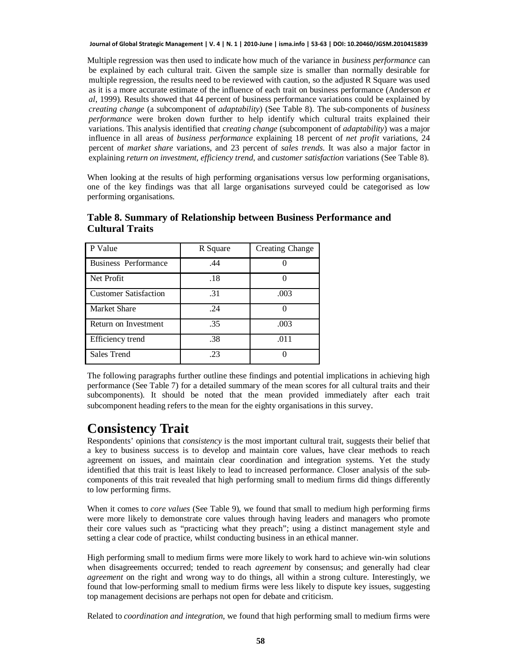Multiple regression was then used to indicate how much of the variance in *business performance* can be explained by each cultural trait. Given the sample size is smaller than normally desirable for multiple regression, the results need to be reviewed with caution, so the adjusted R Square was used as it is a more accurate estimate of the influence of each trait on business performance (Anderson *et al*, 1999). Results showed that 44 percent of business performance variations could be explained by *creating change* (a subcomponent of *adaptability*) (See Table 8). The sub-components of *business performance* were broken down further to help identify which cultural traits explained their variations. This analysis identified that *creating change* (subcomponent of *adaptability*) was a major influence in all areas of *business performance* explaining 18 percent of *net profit* variations, 24 percent of *market share* variations, and 23 percent of *sales trends*. It was also a major factor in explaining *return on investment, efficiency trend*, and *customer satisfaction* variations (See Table 8).

When looking at the results of high performing organisations versus low performing organisations, one of the key findings was that all large organisations surveyed could be categorised as low performing organisations.

| P Value                      | R Square | Creating Change |
|------------------------------|----------|-----------------|
| <b>Business Performance</b>  | .44      |                 |
| Net Profit                   | .18      |                 |
| <b>Customer Satisfaction</b> | .31      | .003            |
| <b>Market Share</b>          | .24      |                 |
| Return on Investment         | .35      | .003            |
| Efficiency trend             | .38      | .011            |
| Sales Trend                  | 23       |                 |

**Table 8. Summary of Relationship between Business Performance and Cultural Traits**

The following paragraphs further outline these findings and potential implications in achieving high performance (See Table 7) for a detailed summary of the mean scores for all cultural traits and their subcomponents). It should be noted that the mean provided immediately after each trait subcomponent heading refers to the mean for the eighty organisations in this survey.

# **Consistency Trait**

Respondents' opinions that *consistency* is the most important cultural trait, suggests their belief that a key to business success is to develop and maintain core values, have clear methods to reach agreement on issues, and maintain clear coordination and integration systems. Yet the study identified that this trait is least likely to lead to increased performance. Closer analysis of the subcomponents of this trait revealed that high performing small to medium firms did things differently to low performing firms.

When it comes to *core values* (See Table 9), we found that small to medium high performing firms were more likely to demonstrate core values through having leaders and managers who promote their core values such as "practicing what they preach"; using a distinct management style and setting a clear code of practice, whilst conducting business in an ethical manner.

High performing small to medium firms were more likely to work hard to achieve win-win solutions when disagreements occurred; tended to reach *agreement* by consensus; and generally had clear *agreement* on the right and wrong way to do things, all within a strong culture. Interestingly, we found that low-performing small to medium firms were less likely to dispute key issues, suggesting top management decisions are perhaps not open for debate and criticism.

Related to *coordination and integration*, we found that high performing small to medium firms were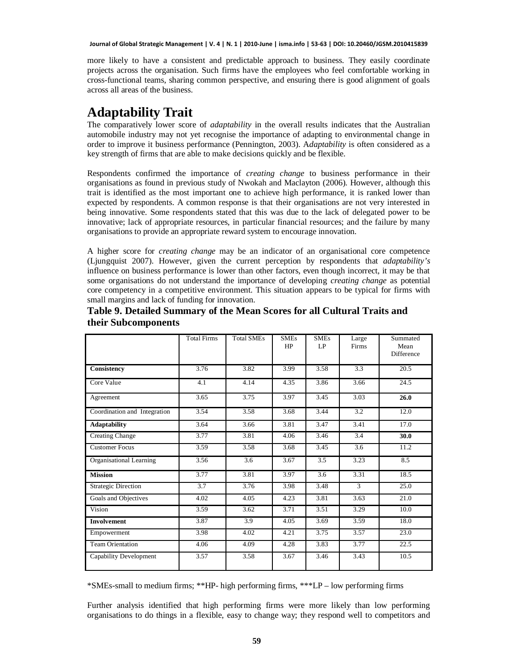more likely to have a consistent and predictable approach to business. They easily coordinate projects across the organisation. Such firms have the employees who feel comfortable working in cross-functional teams, sharing common perspective, and ensuring there is good alignment of goals across all areas of the business.

# **Adaptability Trait**

The comparatively lower score of *adaptability* in the overall results indicates that the Australian automobile industry may not yet recognise the importance of adapting to environmental change in order to improve it business performance (Pennington, 2003). A*daptability* is often considered as a key strength of firms that are able to make decisions quickly and be flexible.

Respondents confirmed the importance of *creating change* to business performance in their organisations as found in previous study of Nwokah and Maclayton (2006). However, although this trait is identified as the most important one to achieve high performance, it is ranked lower than expected by respondents. A common response is that their organisations are not very interested in being innovative. Some respondents stated that this was due to the lack of delegated power to be innovative; lack of appropriate resources, in particular financial resources; and the failure by many organisations to provide an appropriate reward system to encourage innovation.

A higher score for *creating change* may be an indicator of an organisational core competence (Ljungquist 2007). However, given the current perception by respondents that *adaptability's* influence on business performance is lower than other factors, even though incorrect, it may be that some organisations do not understand the importance of developing *creating change* as potential core competency in a competitive environment. This situation appears to be typical for firms with small margins and lack of funding for innovation.

|                               | <b>Total Firms</b> | <b>Total SMEs</b> | <b>SMEs</b><br>HP | <b>SMEs</b><br>LP | Large<br>Firms   | Summated<br>Mean<br>Difference |
|-------------------------------|--------------------|-------------------|-------------------|-------------------|------------------|--------------------------------|
| Consistency                   | 3.76               | 3.82              | 3.99              | 3.58              | 3.3              | 20.5                           |
| Core Value                    | 4.1                | 4.14              | 4.35              | 3.86              | 3.66             | 24.5                           |
| Agreement                     | 3.65               | 3.75              | 3.97              | 3.45              | 3.03             | 26.0                           |
| Coordination and Integration  | 3.54               | 3.58              | 3.68              | 3.44              | $\overline{3.2}$ | 12.0                           |
| <b>Adaptability</b>           | 3.64               | 3.66              | 3.81              | 3.47              | 3.41             | 17.0                           |
| <b>Creating Change</b>        | 3.77               | 3.81              | 4.06              | 3.46              | 3.4              | 30.0                           |
| <b>Customer Focus</b>         | 3.59               | 3.58              | 3.68              | 3.45              | 3.6              | 11.2                           |
| Organisational Learning       | 3.56               | 3.6               | 3.67              | 3.5               | 3.23             | 8.5                            |
| <b>Mission</b>                | 3.77               | 3.81              | 3.97              | 3.6               | 3.31             | 18.5                           |
| <b>Strategic Direction</b>    | 3.7                | 3.76              | 3.98              | 3.48              | 3                | 25.0                           |
| Goals and Objectives          | 4.02               | 4.05              | 4.23              | 3.81              | 3.63             | 21.0                           |
| Vision                        | 3.59               | 3.62              | 3.71              | 3.51              | 3.29             | 10.0                           |
| <b>Involvement</b>            | 3.87               | 3.9               | 4.05              | 3.69              | 3.59             | 18.0                           |
| Empowerment                   | 3.98               | 4.02              | 4.21              | 3.75              | 3.57             | 23.0                           |
| Team Orientation              | 4.06               | 4.09              | 4.28              | 3.83              | 3.77             | 22.5                           |
| <b>Capability Development</b> | 3.57               | 3.58              | 3.67              | 3.46              | 3.43             | 10.5                           |

### **Table 9. Detailed Summary of the Mean Scores for all Cultural Traits and their Subcomponents**

\*SMEs-small to medium firms; \*\*HP- high performing firms, \*\*\*LP – low performing firms

 7 organisations to do things in a flexible, easy to change way; they respond well to competitors and Further analysis identified that high performing firms were more likely than low performing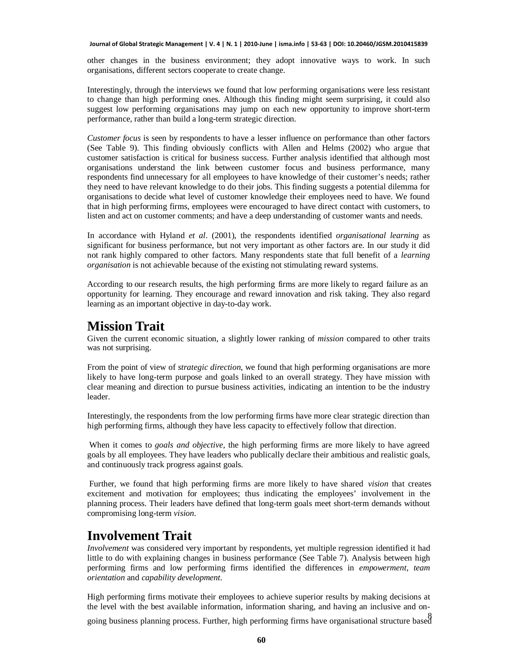other changes in the business environment; they adopt innovative ways to work. In such organisations, different sectors cooperate to create change.

Interestingly, through the interviews we found that low performing organisations were less resistant to change than high performing ones. Although this finding might seem surprising, it could also suggest low performing organisations may jump on each new opportunity to improve short-term performance, rather than build a long-term strategic direction.

*Customer focus* is seen by respondents to have a lesser influence on performance than other factors (See Table 9). This finding obviously conflicts with Allen and Helms (2002) who argue that customer satisfaction is critical for business success. Further analysis identified that although most organisations understand the link between customer focus and business performance, many respondents find unnecessary for all employees to have knowledge of their customer's needs; rather they need to have relevant knowledge to do their jobs. This finding suggests a potential dilemma for organisations to decide what level of customer knowledge their employees need to have. We found that in high performing firms, employees were encouraged to have direct contact with customers, to listen and act on customer comments; and have a deep understanding of customer wants and needs.

In accordance with Hyland *et al*. (2001), the respondents identified *organisational learning* as significant for business performance, but not very important as other factors are. In our study it did not rank highly compared to other factors. Many respondents state that full benefit of a *learning organisation* is not achievable because of the existing not stimulating reward systems.

According to our research results, the high performing firms are more likely to regard failure as an opportunity for learning. They encourage and reward innovation and risk taking. They also regard learning as an important objective in day-to-day work.

### **Mission Trait**

Given the current economic situation, a slightly lower ranking of *mission* compared to other traits was not surprising.

From the point of view of *strategic direction*, we found that high performing organisations are more likely to have long-term purpose and goals linked to an overall strategy. They have mission with clear meaning and direction to pursue business activities, indicating an intention to be the industry leader.

Interestingly, the respondents from the low performing firms have more clear strategic direction than high performing firms, although they have less capacity to effectively follow that direction.

When it comes to *goals and objective,* the high performing firms are more likely to have agreed goals by all employees. They have leaders who publically declare their ambitious and realistic goals, and continuously track progress against goals.

Further, we found that high performing firms are more likely to have shared *vision* that creates excitement and motivation for employees; thus indicating the employees' involvement in the planning process. Their leaders have defined that long-term goals meet short-term demands without compromising long-term *vision*.

# **Involvement Trait**

*Involvement* was considered very important by respondents, yet multiple regression identified it had little to do with explaining changes in business performance (See Table 7). Analysis between high performing firms and low performing firms identified the differences in *empowerment*, *team orientation* and *capability development*.

High performing firms motivate their employees to achieve superior results by making decisions at the level with the best available information, information sharing, and having an inclusive and on-

going business planning process. Further, high performing firms have organisational structure based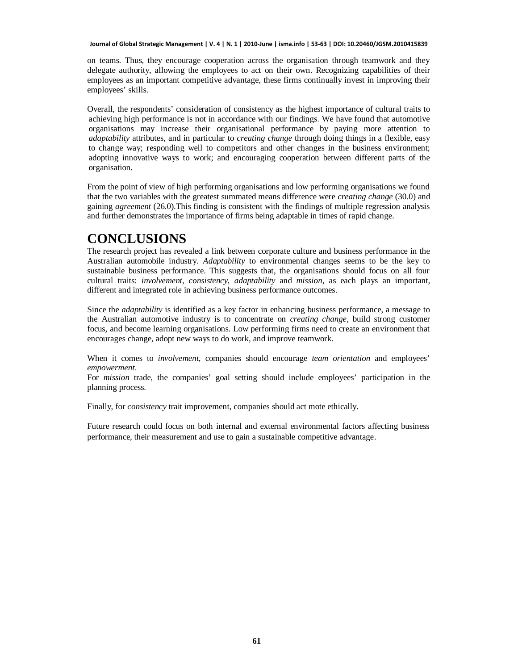on teams. Thus, they encourage cooperation across the organisation through teamwork and they delegate authority, allowing the employees to act on their own. Recognizing capabilities of their employees as an important competitive advantage, these firms continually invest in improving their employees' skills.

Overall, the respondents' consideration of consistency as the highest importance of cultural traits to achieving high performance is not in accordance with our findings. We have found that automotive organisations may increase their organisational performance by paying more attention to *adaptability* attributes, and in particular to *creating change* through doing things in a flexible, easy to change way; responding well to competitors and other changes in the business environment; adopting innovative ways to work; and encouraging cooperation between different parts of the organisation.

From the point of view of high performing organisations and low performing organisations we found that the two variables with the greatest summated means difference were *creating change* (30.0) and gaining *agreement* (26.0).This finding is consistent with the findings of multiple regression analysis and further demonstrates the importance of firms being adaptable in times of rapid change.

## **CONCLUSIONS**

The research project has revealed a link between corporate culture and business performance in the Australian automobile industry. *Adaptability* to environmental changes seems to be the key to sustainable business performance. This suggests that, the organisations should focus on all four cultural traits: *involvement*, *consistency*, *adaptability* and *mission*, as each plays an important, different and integrated role in achieving business performance outcomes.

Since the *adaptability* is identified as a key factor in enhancing business performance, a message to the Australian automotive industry is to concentrate on *creating change*, build strong customer focus, and become learning organisations. Low performing firms need to create an environment that encourages change, adopt new ways to do work, and improve teamwork.

When it comes to *involvement,* companies should encourage *team orientation* and employees' *empowerment*.

For *mission* trade, the companies' goal setting should include employees' participation in the planning process.

Finally, for *consistency* trait improvement, companies should act mote ethically.

Future research could focus on both internal and external environmental factors affecting business performance, their measurement and use to gain a sustainable competitive advantage.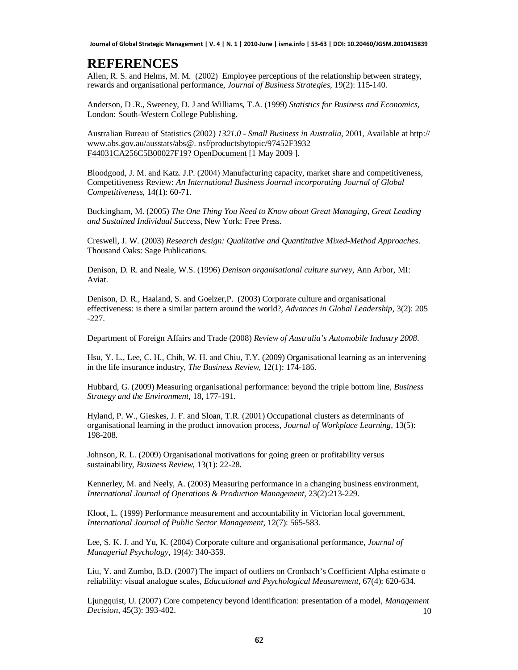## **REFERENCES**

Allen, R. S. and Helms, M. M. (2002) Employee perceptions of the relationship between strategy, rewards and organisational performance, *Journal of Business Strategies*, 19(2): 115-140.

Anderson, D .R., Sweeney, D. J and Williams, T.A. (1999) *Statistics for Business and Economics*, London: South-Western College Publishing.

Australian Bureau of Statistics (2002) *1321.0 - Small Business in Australia*, 2001, Available at http:// [www.abs.gov.au/ausstats/abs@.](http://www.abs.gov.au/ausstats/abs@.) nsf/productsbytopic/97452F3932 F44031CA256C5B00027F19? OpenDocument [1 May 2009 ].

Bloodgood, J. M. and Katz. J.P. (2004) Manufacturing capacity, market share and competitiveness, Competitiveness Review: *An International Business Journal incorporating Journal of Global Competitiveness*, 14(1): 60-71.

Buckingham, M. (2005) *The One Thing You Need to Know about Great Managing, Great Leading and Sustained Individual Success*, New York: Free Press.

Creswell, J. W. (2003) *Research design: Qualitative and Quantitative Mixed-Method Approaches*. Thousand Oaks: Sage Publications.

Denison, D. R. and Neale, W.S. (1996) *Denison organisational culture survey*, Ann Arbor, MI: Aviat.

Denison, D. R., Haaland, S. and Goelzer,P. (2003) Corporate culture and organisational effectiveness: is there a similar pattern around the world?, *Advances in Global Leadership*, 3(2): 205 -227.

Department of Foreign Affairs and Trade (2008) *Review of Australia's Automobile Industry 2008*.

Hsu, Y. L., Lee, C. H., Chih, W. H. and Chiu, T.Y. (2009) Organisational learning as an intervening in the life insurance industry, *The Business Review*, 12(1): 174-186.

Hubbard, G. (2009) Measuring organisational performance: beyond the triple bottom line, *Business Strategy and the Environment*, 18, 177-191.

Hyland, P. W., Gieskes, J. F. and Sloan, T.R. (2001) Occupational clusters as determinants of organisational learning in the product innovation process, *Journal of Workplace Learning*, 13(5): 198-208.

Johnson, R. L. (2009) Organisational motivations for going green or profitability versus sustainability, *Business Review*, 13(1): 22-28.

Kennerley, M. and Neely, A. (2003) Measuring performance in a changing business environment, *International Journal of Operations & Production Management*, 23(2):213-229.

Kloot, L. (1999) Performance measurement and accountability in Victorian local government, *International Journal of Public Sector Management*, 12(7): 565-583.

Lee, S. K. J. and Yu, K. (2004) Corporate culture and organisational performance, *Journal of Managerial Psychology*, 19(4): 340-359.

Liu, Y. and Zumbo, B.D. (2007) The impact of outliers on Cronbach's Coefficient Alpha estimate o reliability: visual analogue scales, *Educational and Psychological Measurement*, 67(4): 620-634.

Ljungquist, U. (2007) Core competency beyond identification: presentation of a model, *Management Decision*, 45(3): 393-402. 10